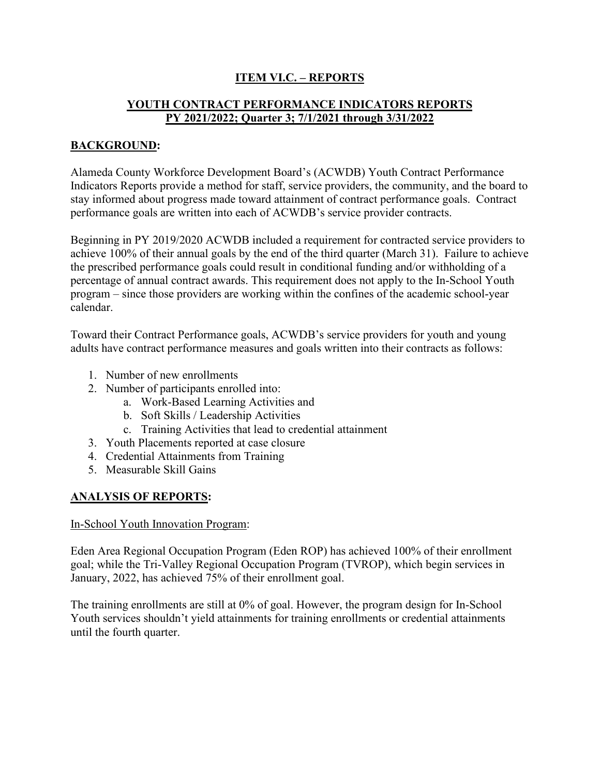# **ITEM VI.C. – REPORTS**

## **YOUTH CONTRACT PERFORMANCE INDICATORS REPORTS PY 2021/2022; Quarter 3; 7/1/2021 through 3/31/2022**

### **BACKGROUND:**

Alameda County Workforce Development Board's (ACWDB) Youth Contract Performance Indicators Reports provide a method for staff, service providers, the community, and the board to stay informed about progress made toward attainment of contract performance goals. Contract performance goals are written into each of ACWDB's service provider contracts.

Beginning in PY 2019/2020 ACWDB included a requirement for contracted service providers to achieve 100% of their annual goals by the end of the third quarter (March 31). Failure to achieve the prescribed performance goals could result in conditional funding and/or withholding of a percentage of annual contract awards. This requirement does not apply to the In-School Youth program – since those providers are working within the confines of the academic school-year calendar.

Toward their Contract Performance goals, ACWDB's service providers for youth and young adults have contract performance measures and goals written into their contracts as follows:

- 1. Number of new enrollments
- 2. Number of participants enrolled into:
	- a. Work-Based Learning Activities and
	- b. Soft Skills / Leadership Activities
	- c. Training Activities that lead to credential attainment
- 3. Youth Placements reported at case closure
- 4. Credential Attainments from Training
- 5. Measurable Skill Gains

#### **ANALYSIS OF REPORTS:**

#### In-School Youth Innovation Program:

Eden Area Regional Occupation Program (Eden ROP) has achieved 100% of their enrollment goal; while the Tri-Valley Regional Occupation Program (TVROP), which begin services in January, 2022, has achieved 75% of their enrollment goal.

The training enrollments are still at 0% of goal. However, the program design for In-School Youth services shouldn't yield attainments for training enrollments or credential attainments until the fourth quarter.